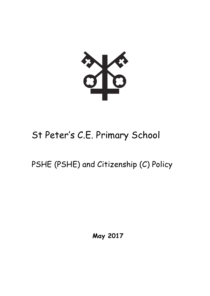

# St Peter's C.E. Primary School

# PSHE (PSHE) and Citizenship (C) Policy

**May 2017**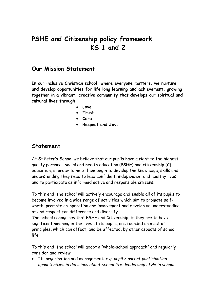# **PSHE and Citizenship policy framework KS 1 and 2**

#### **Our Mission Statement**

**In our inclusive Christian school, where everyone matters, we nurture and develop opportunities for life long learning and achievement, growing together in a vibrant, creative community that develops our spiritual and cultural lives through:**

- **Love**
- **Trust**
- **Care**
- **Respect and Joy.**

#### **Statement**

At St Peter's School we believe that our pupils have a right to the highest quality personal, social and health education (PSHE) and citizenship (C) education, in order to help them begin to develop the knowledge, skills and understanding they need to lead confident, independent and healthy lives and to participate as informed active and responsible citizens.

To this end, the school will actively encourage and enable all of its pupils to become involved in a wide range of activities which aim to promote selfworth, promote co-operation and involvement and develop an understanding of and respect for difference and diversity.

The school recognises that PSHE and Citizenship, if they are to have significant meaning in the lives of its pupils, are founded on a set of principles, which can affect, and be affected, by other aspects of school life.

To this end, the school will adopt a "whole-school approach" and regularly consider and review

 Its organisation and management: *e.g. pupil / parent participation opportunities in decisions about school life; leadership style in school*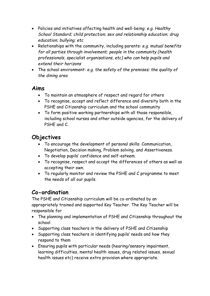- Policies and initiatives affecting health and well-being: *e.g. Healthy School Standard; child protection; sex and relationship education; drug education; bullying; etc*
- Relationships with the community, including parents: *e.g. mutual benefits for all parties through involvement; people in the community (health professionals, specialist organisations, etc) who can help pupils and extend their horizons*
- The school environment: *e.g. the safety of the premises; the quality of the dining area*

#### **Aims**

- To maintain an atmosphere of respect and regard for others
- To recognise, accept and reflect difference and diversity both in the PSHE and Citizenship curriculum and the school community
- To form positive working partnerships with all those responsible, including school nurses and other outside agencies, for the delivery of PSHE and C.

# **Objectives**

- To encourage the development of personal skills: Communication, Negotiation, Decision making, Problem solving, and Assertiveness.
- To develop pupils' confidence and self-esteem.
- To recognise, respect and accept the differences of others as well as accepting their own.
- To regularly monitor and review the PSHE and C programme to meet the needs of all our pupils.

# **Co-ordination**

The PSHE and Citizenship curriculum will be co-ordinated by an appropriately trained and supported Key Teacher. The Key Teacher will be responsible for

- The planning and implementation of PSHE and Citizenship throughout the school
- Supporting class teachers in the delivery of PSHE and Citizenship
- Supporting class teachers in identifying pupils' needs and how they respond to them
- Ensuring pupils with particular needs (hearing/sensory impairment, learning difficulties, mental health issues, drug related issues, sexual health issues etc) receive extra provision where appropriate.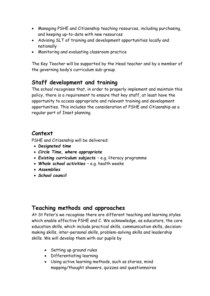- Managing PSHE and Citizenship teaching resources, including purchasing, and keeping up-to-date with new resources
- Advising SLT of training and development opportunities locally and nationally
- Monitoring and evaluating classroom practice

The Key Teacher will be supported by the Head teacher and by a member of the governing body's curriculum sub-group.

# **Staff development and training**

The school recognises that, in order to properly implement and maintain this policy, there is a requirement to ensure that key staff, at least have the opportunity to access appropriate and relevant training and development opportunities. This includes the consideration of PSHE and Citizenship as a regular part of Inset planning.

#### **Context**

PSHE and Citizenship will be delivered:

- *Designated time*
- *Circle Time, where appropriate*
- *Existing curriculum subjects*  e.g. literacy programme
- *Whole school activities*  e.g. health weeks
- *Assemblies*
- *School council*

## **Teaching methods and approaches**

At St Peter's we recognise there are different teaching and learning styles which enable effective PSHE and C. We acknowledge, as educators, the core education skills, which include practical skills, communication skills, decisionmaking skills, inter-personal skills, problem-solving skills and leadership skills. We will develop them with our pupils by

- Setting up ground rules
- Differentiating learning
- Using active learning methods, such as stories, mind mapping/thought showers, quizzes and questionnaires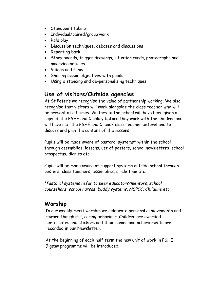- Standpoint taking
- Individual/paired/group work
- Role play
- Discussion techniques, debates and discussions
- Reporting back
- Story boards, trigger drawings, situation cards, photographs and magazine articles
- Videos and films
- Sharing lesson objectives with pupils
- Using distancing and de-personalising techniques

#### **Use of visitors/Outside agencies**

At St Peter's we recognise the value of partnership working. We also recognise that visitors will work alongside the class teacher who will be present at all times. Visitors to the school will have been given a copy of the PSHE and C policy before they work with the children and will have met the PSHE and C lead/ class teacher beforehand to discuss and plan the content of the lessons.

Pupils will be made aware of pastoral systems\* within the school through assemblies, lessons, use of posters, school newsletters, school prospectus, diaries etc.

Pupils will be made aware of support systems outside school through posters, class teachers, assemblies, circle time etc.

\**Pastoral systems refer to peer educators/mentors, school counsellors, school nurses, buddy systems, NSPCC, Childline etc* 

# **Worship**

In our weekly merit worship we celebrate personal achievements and reward thoughtful, caring behaviour. Children are awarded certificates and stickers and their names and achievements are recorded in our Newsletter.

At the beginning of each half term the new unit of work in PSHE, Jigsaw programme will be introduced.